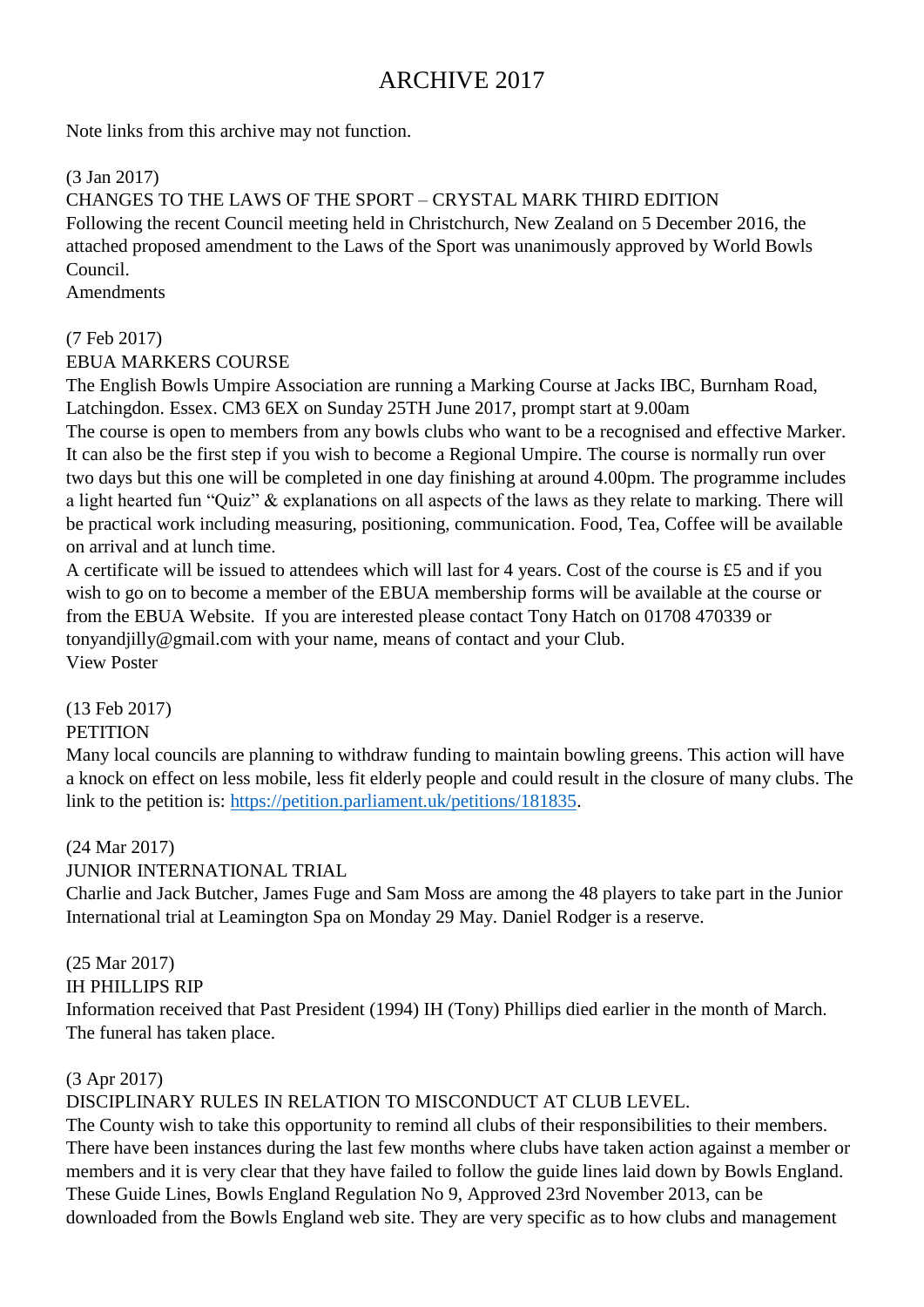# ARCHIVE 2017

Note links from this archive may not function.

(3 Jan 2017)

CHANGES TO THE LAWS OF THE SPORT – CRYSTAL MARK THIRD EDITION Following the recent Council meeting held in Christchurch, New Zealand on 5 December 2016, the attached proposed amendment to the Laws of the Sport was unanimously approved by World Bowls Council.

**Amendments** 

#### (7 Feb 2017)

EBUA MARKERS COURSE

The English Bowls Umpire Association are running a Marking Course at Jacks IBC, Burnham Road, Latchingdon. Essex. CM3 6EX on Sunday 25TH June 2017, prompt start at 9.00am

The course is open to members from any bowls clubs who want to be a recognised and effective Marker. It can also be the first step if you wish to become a Regional Umpire. The course is normally run over two days but this one will be completed in one day finishing at around 4.00pm. The programme includes a light hearted fun "Quiz" & explanations on all aspects of the laws as they relate to marking. There will be practical work including measuring, positioning, communication. Food, Tea, Coffee will be available on arrival and at lunch time.

A certificate will be issued to attendees which will last for 4 years. Cost of the course is £5 and if you wish to go on to become a member of the EBUA membership forms will be available at the course or from the EBUA Website. If you are interested please contact Tony Hatch on 01708 470339 or tonyandjilly@gmail.com with your name, means of contact and your Club. View Poster

## (13 Feb 2017)

## **PETITION**

Many local councils are planning to withdraw funding to maintain bowling greens. This action will have a knock on effect on less mobile, less fit elderly people and could result in the closure of many clubs. The link to the petition is: [https://petition.parliament.uk/petitions/181835.](https://petition.parliament.uk/petitions/181835)

## (24 Mar 2017)

## JUNIOR INTERNATIONAL TRIAL

Charlie and Jack Butcher, James Fuge and Sam Moss are among the 48 players to take part in the Junior International trial at Leamington Spa on Monday 29 May. Daniel Rodger is a reserve.

## (25 Mar 2017)

#### IH PHILLIPS RIP

Information received that Past President (1994) IH (Tony) Phillips died earlier in the month of March. The funeral has taken place.

#### (3 Apr 2017)

DISCIPLINARY RULES IN RELATION TO MISCONDUCT AT CLUB LEVEL.

The County wish to take this opportunity to remind all clubs of their responsibilities to their members. There have been instances during the last few months where clubs have taken action against a member or members and it is very clear that they have failed to follow the guide lines laid down by Bowls England. These Guide Lines, Bowls England Regulation No 9, Approved 23rd November 2013, can be downloaded from the Bowls England web site. They are very specific as to how clubs and management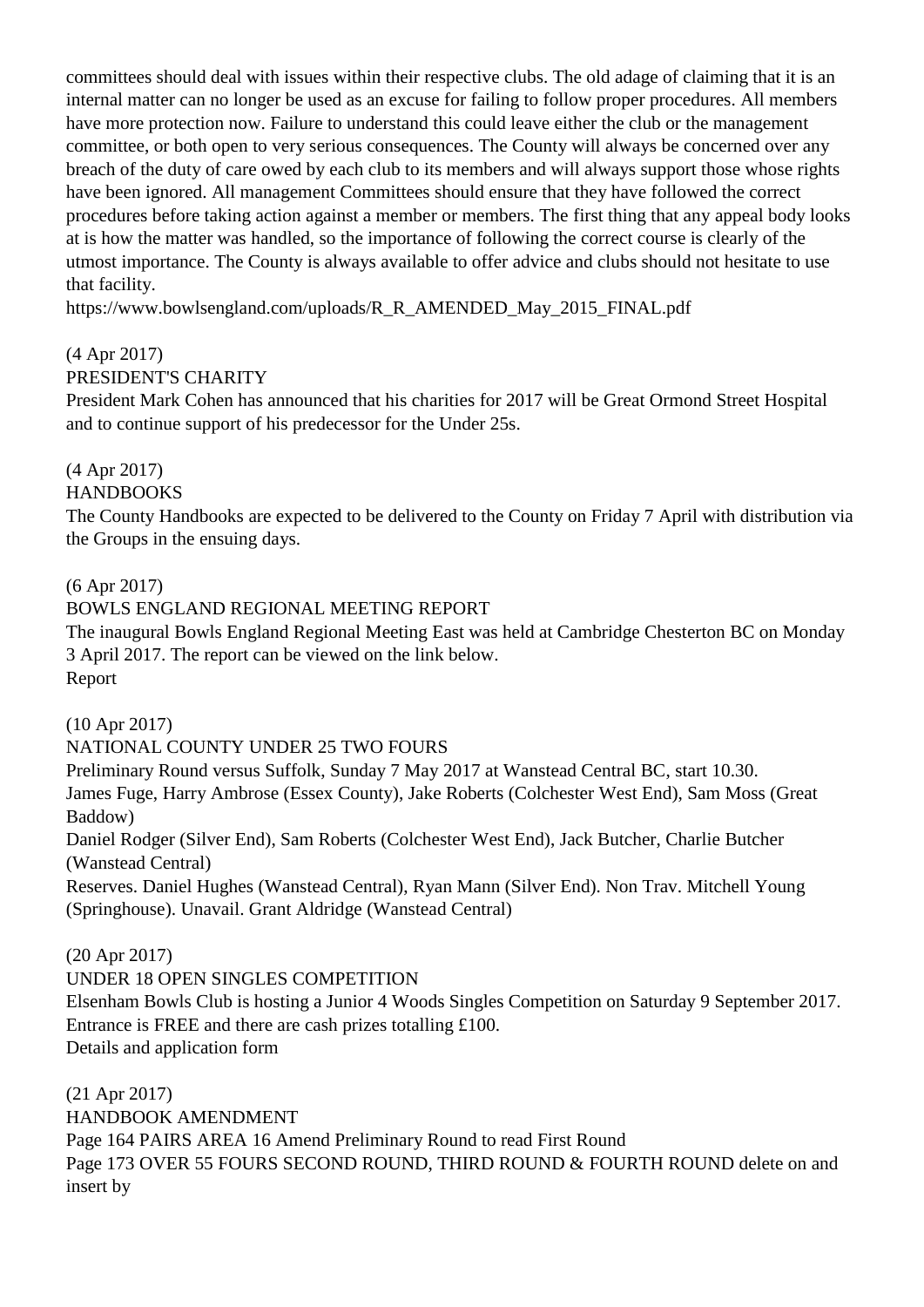committees should deal with issues within their respective clubs. The old adage of claiming that it is an internal matter can no longer be used as an excuse for failing to follow proper procedures. All members have more protection now. Failure to understand this could leave either the club or the management committee, or both open to very serious consequences. The County will always be concerned over any breach of the duty of care owed by each club to its members and will always support those whose rights have been ignored. All management Committees should ensure that they have followed the correct procedures before taking action against a member or members. The first thing that any appeal body looks at is how the matter was handled, so the importance of following the correct course is clearly of the utmost importance. The County is always available to offer advice and clubs should not hesitate to use that facility.

https://www.bowlsengland.com/uploads/R\_R\_AMENDED\_May\_2015\_FINAL.pdf

(4 Apr 2017)

PRESIDENT'S CHARITY

President Mark Cohen has announced that his charities for 2017 will be Great Ormond Street Hospital and to continue support of his predecessor for the Under 25s.

(4 Apr 2017)

HANDBOOKS

The County Handbooks are expected to be delivered to the County on Friday 7 April with distribution via the Groups in the ensuing days.

(6 Apr 2017)

BOWLS ENGLAND REGIONAL MEETING REPORT

The inaugural Bowls England Regional Meeting East was held at Cambridge Chesterton BC on Monday 3 April 2017. The report can be viewed on the link below. Report

(10 Apr 2017) NATIONAL COUNTY UNDER 25 TWO FOURS

Preliminary Round versus Suffolk, Sunday 7 May 2017 at Wanstead Central BC, start 10.30. James Fuge, Harry Ambrose (Essex County), Jake Roberts (Colchester West End), Sam Moss (Great Baddow)

Daniel Rodger (Silver End), Sam Roberts (Colchester West End), Jack Butcher, Charlie Butcher (Wanstead Central)

Reserves. Daniel Hughes (Wanstead Central), Ryan Mann (Silver End). Non Trav. Mitchell Young (Springhouse). Unavail. Grant Aldridge (Wanstead Central)

(20 Apr 2017)

UNDER 18 OPEN SINGLES COMPETITION

Elsenham Bowls Club is hosting a Junior 4 Woods Singles Competition on Saturday 9 September 2017. Entrance is FREE and there are cash prizes totalling £100. Details and application form

(21 Apr 2017) HANDBOOK AMENDMENT Page 164 PAIRS AREA 16 Amend Preliminary Round to read First Round Page 173 OVER 55 FOURS SECOND ROUND, THIRD ROUND & FOURTH ROUND delete on and insert by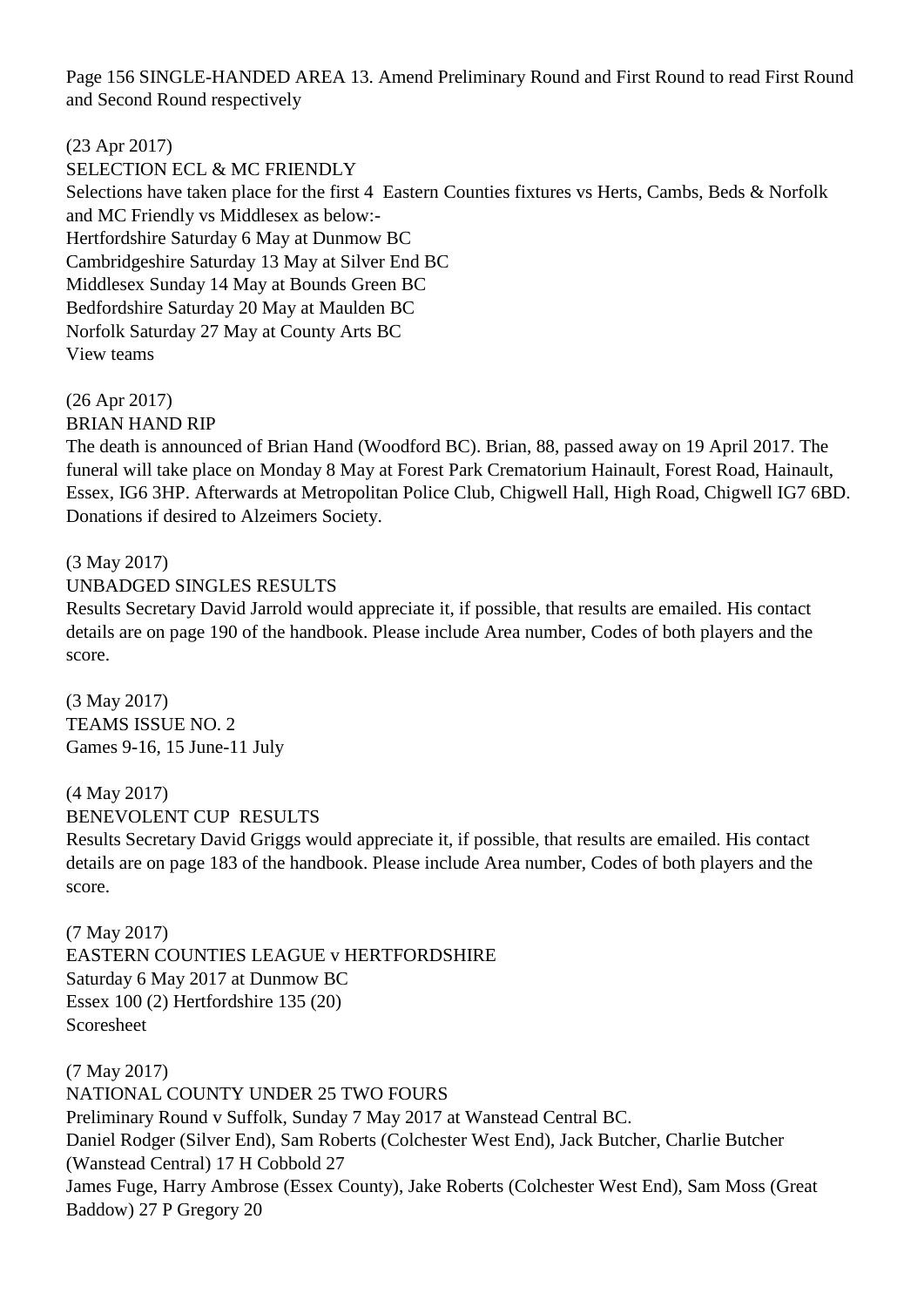Page 156 SINGLE-HANDED AREA 13. Amend Preliminary Round and First Round to read First Round and Second Round respectively

(23 Apr 2017)

SELECTION ECL & MC FRIENDLY Selections have taken place for the first 4 Eastern Counties fixtures vs Herts, Cambs, Beds & Norfolk and MC Friendly vs Middlesex as below:- Hertfordshire Saturday 6 May at Dunmow BC Cambridgeshire Saturday 13 May at Silver End BC Middlesex Sunday 14 May at Bounds Green BC Bedfordshire Saturday 20 May at Maulden BC Norfolk Saturday 27 May at County Arts BC View teams

(26 Apr 2017) BRIAN HAND RIP

The death is announced of Brian Hand (Woodford BC). Brian, 88, passed away on 19 April 2017. The funeral will take place on Monday 8 May at Forest Park Crematorium Hainault, Forest Road, Hainault, Essex, IG6 3HP. Afterwards at Metropolitan Police Club, Chigwell Hall, High Road, Chigwell IG7 6BD. Donations if desired to Alzeimers Society.

(3 May 2017) UNBADGED SINGLES RESULTS

Results Secretary David Jarrold would appreciate it, if possible, that results are emailed. His contact details are on page 190 of the handbook. Please include Area number, Codes of both players and the score.

(3 May 2017) TEAMS ISSUE NO. 2 Games 9-16, 15 June-11 July

(4 May 2017) BENEVOLENT CUP RESULTS

Results Secretary David Griggs would appreciate it, if possible, that results are emailed. His contact details are on page 183 of the handbook. Please include Area number, Codes of both players and the score.

(7 May 2017) EASTERN COUNTIES LEAGUE v HERTFORDSHIRE Saturday 6 May 2017 at Dunmow BC Essex 100 (2) Hertfordshire 135 (20) Scoresheet

(7 May 2017) NATIONAL COUNTY UNDER 25 TWO FOURS Preliminary Round v Suffolk, Sunday 7 May 2017 at Wanstead Central BC. Daniel Rodger (Silver End), Sam Roberts (Colchester West End), Jack Butcher, Charlie Butcher (Wanstead Central) 17 H Cobbold 27 James Fuge, Harry Ambrose (Essex County), Jake Roberts (Colchester West End), Sam Moss (Great Baddow) 27 P Gregory 20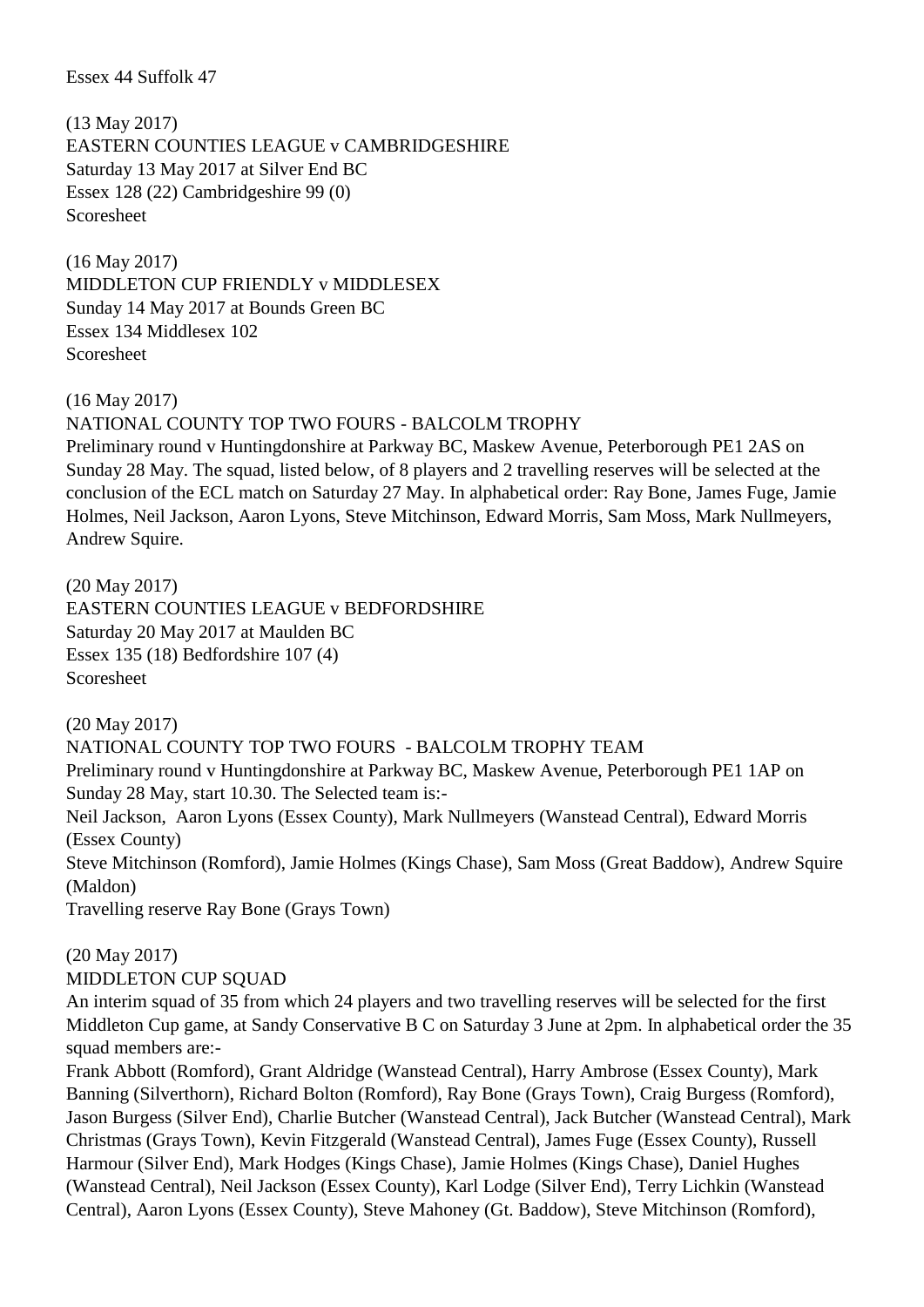Essex 44 Suffolk 47

(13 May 2017) EASTERN COUNTIES LEAGUE v CAMBRIDGESHIRE Saturday 13 May 2017 at Silver End BC Essex 128 (22) Cambridgeshire 99 (0) Scoresheet

(16 May 2017) MIDDLETON CUP FRIENDLY v MIDDLESEX Sunday 14 May 2017 at Bounds Green BC Essex 134 Middlesex 102 Scoresheet

(16 May 2017)

NATIONAL COUNTY TOP TWO FOURS - BALCOLM TROPHY

Preliminary round v Huntingdonshire at Parkway BC, Maskew Avenue, Peterborough PE1 2AS on Sunday 28 May. The squad, listed below, of 8 players and 2 travelling reserves will be selected at the conclusion of the ECL match on Saturday 27 May. In alphabetical order: Ray Bone, James Fuge, Jamie Holmes, Neil Jackson, Aaron Lyons, Steve Mitchinson, Edward Morris, Sam Moss, Mark Nullmeyers, Andrew Squire.

(20 May 2017) EASTERN COUNTIES LEAGUE v BEDFORDSHIRE Saturday 20 May 2017 at Maulden BC Essex 135 (18) Bedfordshire 107 (4) Scoresheet

(20 May 2017) NATIONAL COUNTY TOP TWO FOURS - BALCOLM TROPHY TEAM Preliminary round v Huntingdonshire at Parkway BC, Maskew Avenue, Peterborough PE1 1AP on Sunday 28 May, start 10.30. The Selected team is:- Neil Jackson, Aaron Lyons (Essex County), Mark Nullmeyers (Wanstead Central), Edward Morris (Essex County) Steve Mitchinson (Romford), Jamie Holmes (Kings Chase), Sam Moss (Great Baddow), Andrew Squire (Maldon) Travelling reserve Ray Bone (Grays Town)

(20 May 2017) MIDDLETON CUP SQUAD

An interim squad of 35 from which 24 players and two travelling reserves will be selected for the first Middleton Cup game, at Sandy Conservative B C on Saturday 3 June at 2pm. In alphabetical order the 35 squad members are:-

Frank Abbott (Romford), Grant Aldridge (Wanstead Central), Harry Ambrose (Essex County), Mark Banning (Silverthorn), Richard Bolton (Romford), Ray Bone (Grays Town), Craig Burgess (Romford), Jason Burgess (Silver End), Charlie Butcher (Wanstead Central), Jack Butcher (Wanstead Central), Mark Christmas (Grays Town), Kevin Fitzgerald (Wanstead Central), James Fuge (Essex County), Russell Harmour (Silver End), Mark Hodges (Kings Chase), Jamie Holmes (Kings Chase), Daniel Hughes (Wanstead Central), Neil Jackson (Essex County), Karl Lodge (Silver End), Terry Lichkin (Wanstead Central), Aaron Lyons (Essex County), Steve Mahoney (Gt. Baddow), Steve Mitchinson (Romford),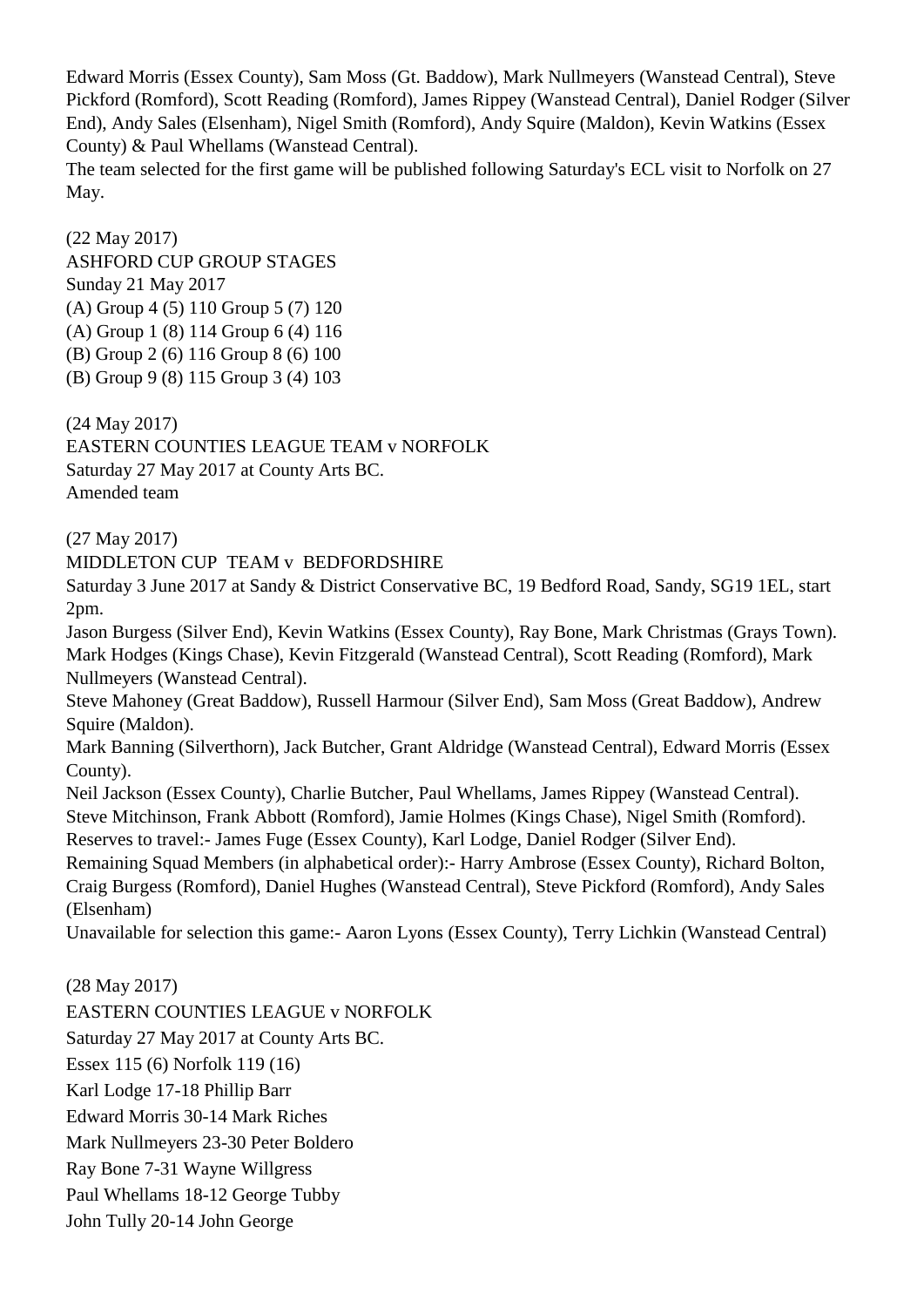Edward Morris (Essex County), Sam Moss (Gt. Baddow), Mark Nullmeyers (Wanstead Central), Steve Pickford (Romford), Scott Reading (Romford), James Rippey (Wanstead Central), Daniel Rodger (Silver End), Andy Sales (Elsenham), Nigel Smith (Romford), Andy Squire (Maldon), Kevin Watkins (Essex County) & Paul Whellams (Wanstead Central).

The team selected for the first game will be published following Saturday's ECL visit to Norfolk on 27 May.

(22 May 2017) ASHFORD CUP GROUP STAGES Sunday 21 May 2017 (A) Group 4 (5) 110 Group 5 (7) 120 (A) Group 1 (8) 114 Group 6 (4) 116 (B) Group 2 (6) 116 Group 8 (6) 100 (B) Group 9 (8) 115 Group 3 (4) 103

(24 May 2017) EASTERN COUNTIES LEAGUE TEAM v NORFOLK Saturday 27 May 2017 at County Arts BC. Amended team

(27 May 2017)

MIDDLETON CUP TEAM v BEDFORDSHIRE

Saturday 3 June 2017 at Sandy & District Conservative BC, 19 Bedford Road, Sandy, SG19 1EL, start 2pm.

Jason Burgess (Silver End), Kevin Watkins (Essex County), Ray Bone, Mark Christmas (Grays Town). Mark Hodges (Kings Chase), Kevin Fitzgerald (Wanstead Central), Scott Reading (Romford), Mark Nullmeyers (Wanstead Central).

Steve Mahoney (Great Baddow), Russell Harmour (Silver End), Sam Moss (Great Baddow), Andrew Squire (Maldon).

Mark Banning (Silverthorn), Jack Butcher, Grant Aldridge (Wanstead Central), Edward Morris (Essex County).

Neil Jackson (Essex County), Charlie Butcher, Paul Whellams, James Rippey (Wanstead Central). Steve Mitchinson, Frank Abbott (Romford), Jamie Holmes (Kings Chase), Nigel Smith (Romford).

Reserves to travel:- James Fuge (Essex County), Karl Lodge, Daniel Rodger (Silver End).

Remaining Squad Members (in alphabetical order):- Harry Ambrose (Essex County), Richard Bolton, Craig Burgess (Romford), Daniel Hughes (Wanstead Central), Steve Pickford (Romford), Andy Sales (Elsenham)

Unavailable for selection this game:- Aaron Lyons (Essex County), Terry Lichkin (Wanstead Central)

(28 May 2017) EASTERN COUNTIES LEAGUE v NORFOLK Saturday 27 May 2017 at County Arts BC. Essex 115 (6) Norfolk 119 (16) Karl Lodge 17-18 Phillip Barr Edward Morris 30-14 Mark Riches Mark Nullmeyers 23-30 Peter Boldero Ray Bone 7-31 Wayne Willgress

Paul Whellams 18-12 George Tubby

John Tully 20-14 John George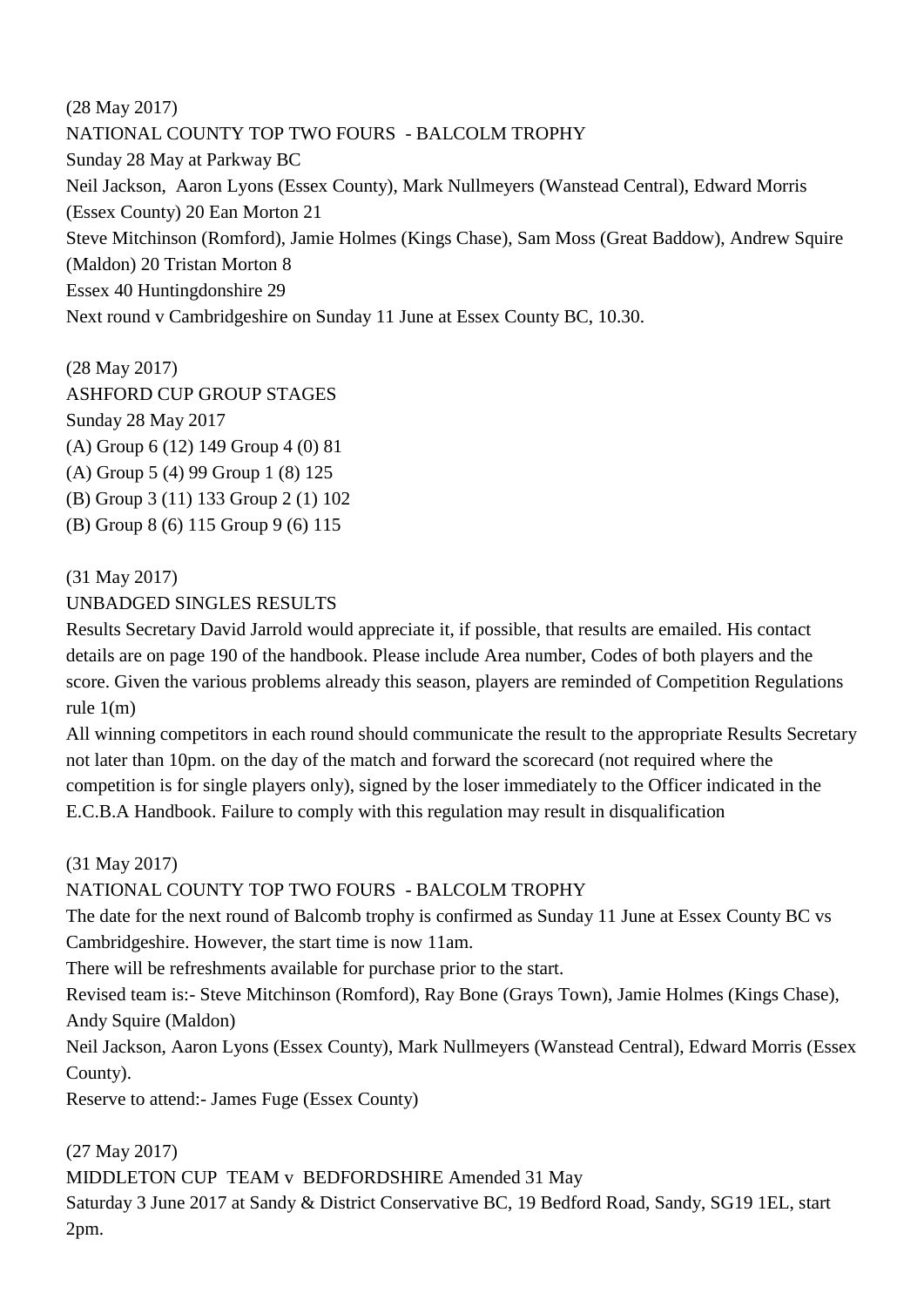(28 May 2017) NATIONAL COUNTY TOP TWO FOURS - BALCOLM TROPHY Sunday 28 May at Parkway BC Neil Jackson, Aaron Lyons (Essex County), Mark Nullmeyers (Wanstead Central), Edward Morris (Essex County) 20 Ean Morton 21 Steve Mitchinson (Romford), Jamie Holmes (Kings Chase), Sam Moss (Great Baddow), Andrew Squire (Maldon) 20 Tristan Morton 8 Essex 40 Huntingdonshire 29 Next round v Cambridgeshire on Sunday 11 June at Essex County BC, 10.30.

(28 May 2017) ASHFORD CUP GROUP STAGES Sunday 28 May 2017 (A) Group 6 (12) 149 Group 4 (0) 81 (A) Group 5 (4) 99 Group 1 (8) 125 (B) Group 3 (11) 133 Group 2 (1) 102 (B) Group 8 (6) 115 Group 9 (6) 115

(31 May 2017)

## UNBADGED SINGLES RESULTS

Results Secretary David Jarrold would appreciate it, if possible, that results are emailed. His contact details are on page 190 of the handbook. Please include Area number, Codes of both players and the score. Given the various problems already this season, players are reminded of Competition Regulations rule 1(m)

All winning competitors in each round should communicate the result to the appropriate Results Secretary not later than 10pm. on the day of the match and forward the scorecard (not required where the competition is for single players only), signed by the loser immediately to the Officer indicated in the E.C.B.A Handbook. Failure to comply with this regulation may result in disqualification

## (31 May 2017)

## NATIONAL COUNTY TOP TWO FOURS - BALCOLM TROPHY

The date for the next round of Balcomb trophy is confirmed as Sunday 11 June at Essex County BC vs Cambridgeshire. However, the start time is now 11am.

There will be refreshments available for purchase prior to the start.

Revised team is:- Steve Mitchinson (Romford), Ray Bone (Grays Town), Jamie Holmes (Kings Chase), Andy Squire (Maldon)

Neil Jackson, Aaron Lyons (Essex County), Mark Nullmeyers (Wanstead Central), Edward Morris (Essex County).

Reserve to attend:- James Fuge (Essex County)

(27 May 2017)

MIDDLETON CUP TEAM v BEDFORDSHIRE Amended 31 May Saturday 3 June 2017 at Sandy & District Conservative BC, 19 Bedford Road, Sandy, SG19 1EL, start 2pm.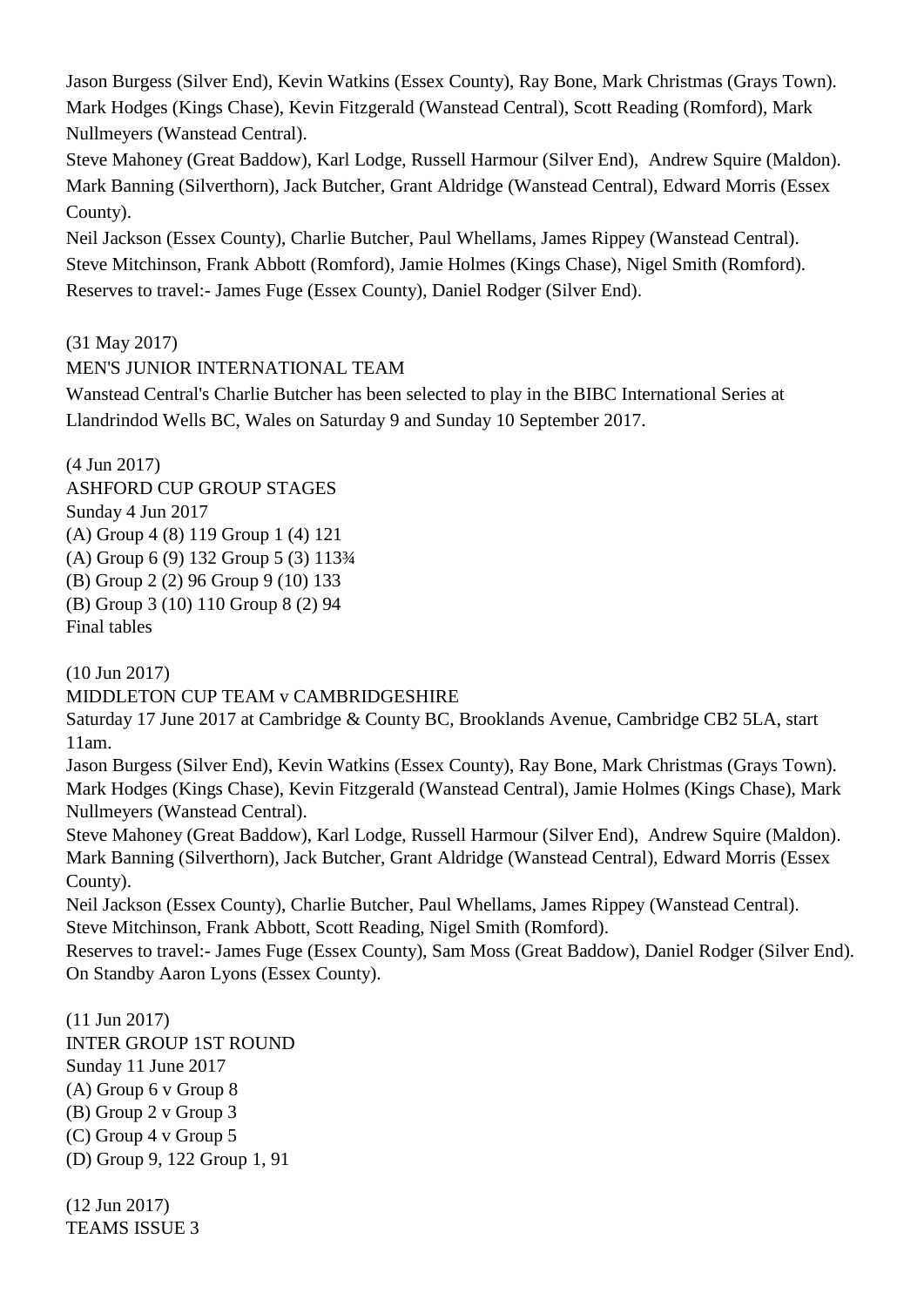Jason Burgess (Silver End), Kevin Watkins (Essex County), Ray Bone, Mark Christmas (Grays Town). Mark Hodges (Kings Chase), Kevin Fitzgerald (Wanstead Central), Scott Reading (Romford), Mark Nullmeyers (Wanstead Central).

Steve Mahoney (Great Baddow), Karl Lodge, Russell Harmour (Silver End), Andrew Squire (Maldon). Mark Banning (Silverthorn), Jack Butcher, Grant Aldridge (Wanstead Central), Edward Morris (Essex County).

Neil Jackson (Essex County), Charlie Butcher, Paul Whellams, James Rippey (Wanstead Central). Steve Mitchinson, Frank Abbott (Romford), Jamie Holmes (Kings Chase), Nigel Smith (Romford). Reserves to travel:- James Fuge (Essex County), Daniel Rodger (Silver End).

(31 May 2017)

MEN'S JUNIOR INTERNATIONAL TEAM

Wanstead Central's Charlie Butcher has been selected to play in the BIBC International Series at Llandrindod Wells BC, Wales on Saturday 9 and Sunday 10 September 2017.

(4 Jun 2017) ASHFORD CUP GROUP STAGES Sunday 4 Jun 2017 (A) Group 4 (8) 119 Group 1 (4) 121 (A) Group 6 (9) 132 Group 5 (3) 113¾ (B) Group 2 (2) 96 Group 9 (10) 133 (B) Group 3 (10) 110 Group 8 (2) 94 Final tables

(10 Jun 2017)

MIDDLETON CUP TEAM v CAMBRIDGESHIRE

Saturday 17 June 2017 at Cambridge & County BC, Brooklands Avenue, Cambridge CB2 5LA, start 11am.

Jason Burgess (Silver End), Kevin Watkins (Essex County), Ray Bone, Mark Christmas (Grays Town). Mark Hodges (Kings Chase), Kevin Fitzgerald (Wanstead Central), Jamie Holmes (Kings Chase), Mark Nullmeyers (Wanstead Central).

Steve Mahoney (Great Baddow), Karl Lodge, Russell Harmour (Silver End), Andrew Squire (Maldon). Mark Banning (Silverthorn), Jack Butcher, Grant Aldridge (Wanstead Central), Edward Morris (Essex County).

Neil Jackson (Essex County), Charlie Butcher, Paul Whellams, James Rippey (Wanstead Central). Steve Mitchinson, Frank Abbott, Scott Reading, Nigel Smith (Romford).

Reserves to travel:- James Fuge (Essex County), Sam Moss (Great Baddow), Daniel Rodger (Silver End). On Standby Aaron Lyons (Essex County).

(11 Jun 2017) INTER GROUP 1ST ROUND Sunday 11 June 2017 (A) Group 6 v Group 8 (B) Group 2 v Group 3 (C) Group 4 v Group 5 (D) Group 9, 122 Group 1, 91

(12 Jun 2017) TEAMS ISSUE 3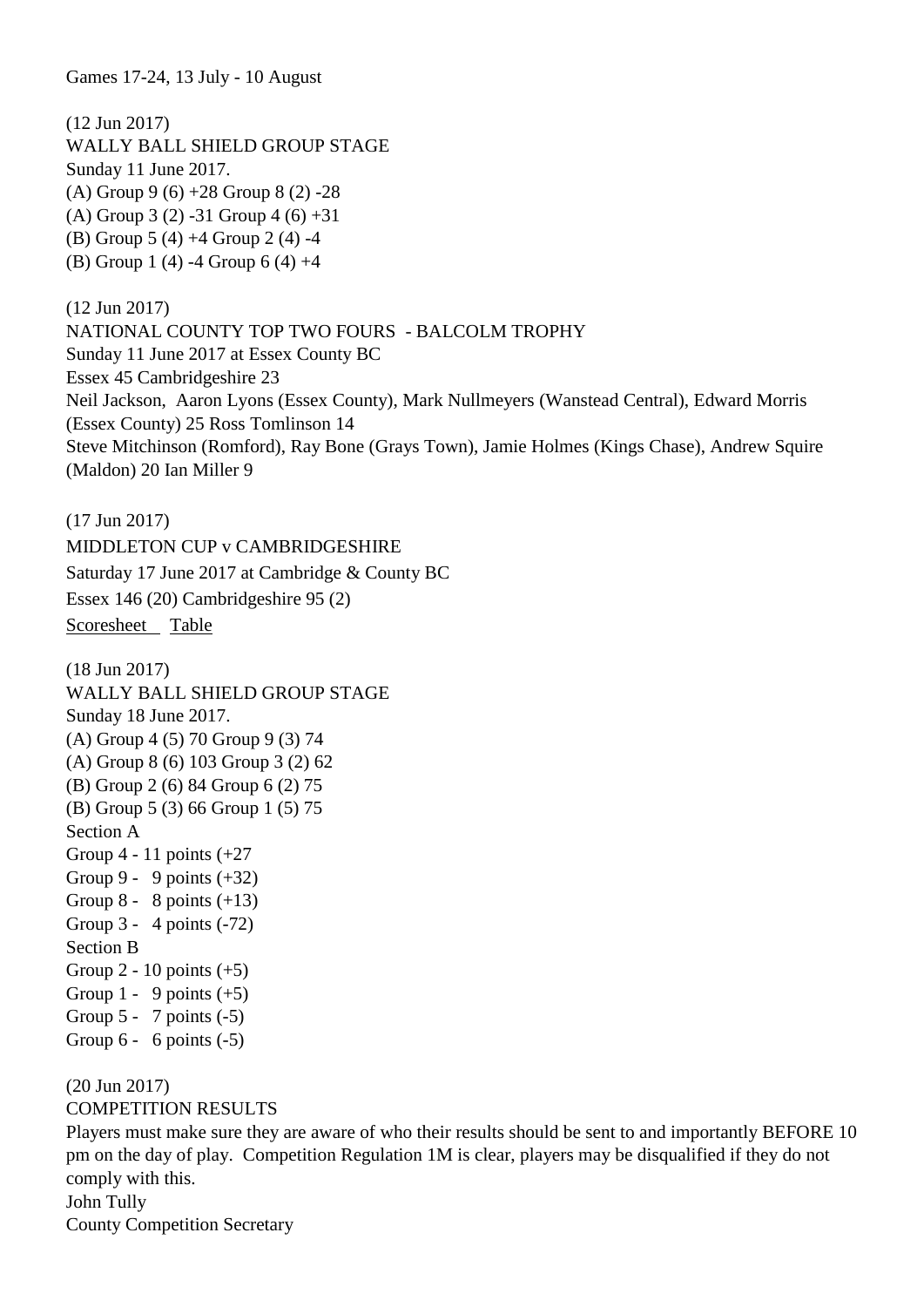Games 17-24, 13 July - 10 August

(12 Jun 2017) WALLY BALL SHIELD GROUP STAGE Sunday 11 June 2017. (A) Group 9 (6) +28 Group 8 (2) -28 (A) Group 3 (2) -31 Group 4 (6) +31 (B) Group 5 (4) +4 Group 2 (4) -4 (B) Group 1 (4) -4 Group 6 (4) +4 (12 Jun 2017)

NATIONAL COUNTY TOP TWO FOURS - BALCOLM TROPHY Sunday 11 June 2017 at Essex County BC Essex 45 Cambridgeshire 23 Neil Jackson, Aaron Lyons (Essex County), Mark Nullmeyers (Wanstead Central), Edward Morris (Essex County) 25 Ross Tomlinson 14 Steve Mitchinson (Romford), Ray Bone (Grays Town), Jamie Holmes (Kings Chase), Andrew Squire (Maldon) 20 Ian Miller 9

(17 Jun 2017) MIDDLETON CUP v CAMBRIDGESHIRE Saturday 17 June 2017 at Cambridge & County BC Essex 146 (20) Cambridgeshire 95 (2) [Scoresheet](http://docs.wixstatic.com/ugd/6f7102_5debd0ac0d8249bb935ed9d2c651cc0f.pdf) [Table](http://docs.wixstatic.com/ugd/6f7102_0b122a8152a946bcb9ed2b5c67e0839c.pdf)

(18 Jun 2017) WALLY BALL SHIELD GROUP STAGE Sunday 18 June 2017. (A) Group 4 (5) 70 Group 9 (3) 74 (A) Group 8 (6) 103 Group 3 (2) 62 (B) Group 2 (6) 84 Group 6 (2) 75 (B) Group 5 (3) 66 Group 1 (5) 75 Section A Group  $4 - 11$  points  $(+27)$ Group 9 - 9 points  $(+32)$ Group  $8 - 8$  points  $(+13)$ Group 3 - 4 points (-72) Section B Group  $2 - 10$  points  $(+5)$ Group 1 - 9 points  $(+5)$ Group  $5 - 7$  points  $(-5)$ Group  $6 - 6$  points  $(-5)$ (20 Jun 2017) COMPETITION RESULTS

Players must make sure they are aware of who their results should be sent to and importantly BEFORE 10 pm on the day of play. Competition Regulation 1M is clear, players may be disqualified if they do not comply with this. John Tully

County Competition Secretary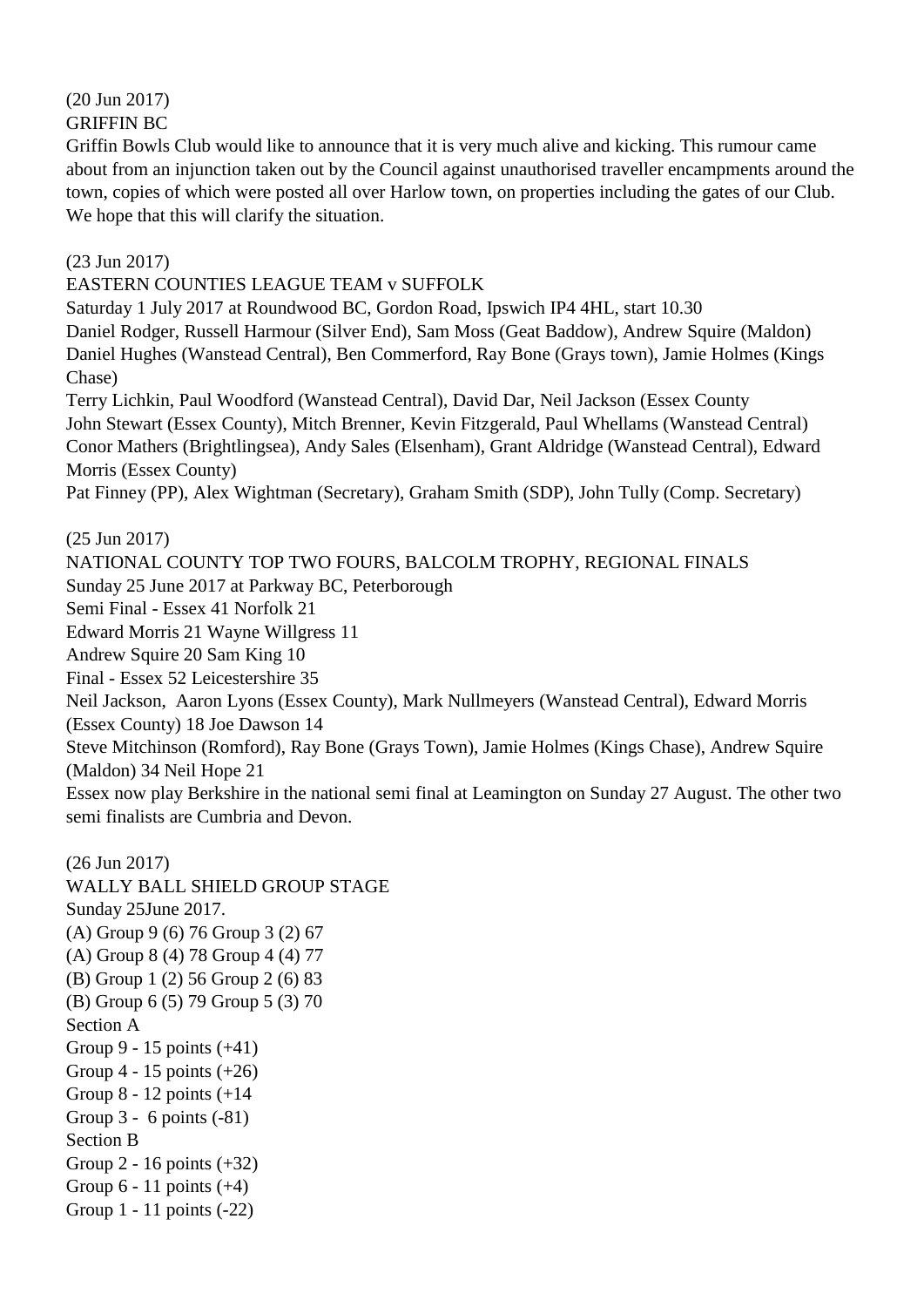### (20 Jun 2017) GRIFFIN BC

Griffin Bowls Club would like to announce that it is very much alive and kicking. This rumour came about from an injunction taken out by the Council against unauthorised traveller encampments around the town, copies of which were posted all over Harlow town, on properties including the gates of our Club. We hope that this will clarify the situation.

(23 Jun 2017)

EASTERN COUNTIES LEAGUE TEAM v SUFFOLK

Saturday 1 July 2017 at Roundwood BC, Gordon Road, Ipswich IP4 4HL, start 10.30 Daniel Rodger, Russell Harmour (Silver End), Sam Moss (Geat Baddow), Andrew Squire (Maldon) Daniel Hughes (Wanstead Central), Ben Commerford, Ray Bone (Grays town), Jamie Holmes (Kings Chase)

Terry Lichkin, Paul Woodford (Wanstead Central), David Dar, Neil Jackson (Essex County John Stewart (Essex County), Mitch Brenner, Kevin Fitzgerald, Paul Whellams (Wanstead Central) Conor Mathers (Brightlingsea), Andy Sales (Elsenham), Grant Aldridge (Wanstead Central), Edward Morris (Essex County)

Pat Finney (PP), Alex Wightman (Secretary), Graham Smith (SDP), John Tully (Comp. Secretary)

(25 Jun 2017) NATIONAL COUNTY TOP TWO FOURS, BALCOLM TROPHY, REGIONAL FINALS Sunday 25 June 2017 at Parkway BC, Peterborough Semi Final - Essex 41 Norfolk 21 Edward Morris 21 Wayne Willgress 11 Andrew Squire 20 Sam King 10 Final - Essex 52 Leicestershire 35 Neil Jackson, Aaron Lyons (Essex County), Mark Nullmeyers (Wanstead Central), Edward Morris (Essex County) 18 Joe Dawson 14 Steve Mitchinson (Romford), Ray Bone (Grays Town), Jamie Holmes (Kings Chase), Andrew Squire (Maldon) 34 Neil Hope 21 Essex now play Berkshire in the national semi final at Leamington on Sunday 27 August. The other two semi finalists are Cumbria and Devon.

(26 Jun 2017) WALLY BALL SHIELD GROUP STAGE Sunday 25June 2017. (A) Group 9 (6) 76 Group 3 (2) 67 (A) Group 8 (4) 78 Group 4 (4) 77 (B) Group 1 (2) 56 Group 2 (6) 83 (B) Group 6 (5) 79 Group 5 (3) 70 Section A Group 9 - 15 points (+41) Group  $4 - 15$  points  $(+26)$ Group 8 - 12 points (+14 Group  $3 - 6$  points  $(-81)$ Section B Group 2 - 16 points (+32) Group  $6 - 11$  points  $(+4)$ Group 1 - 11 points (-22)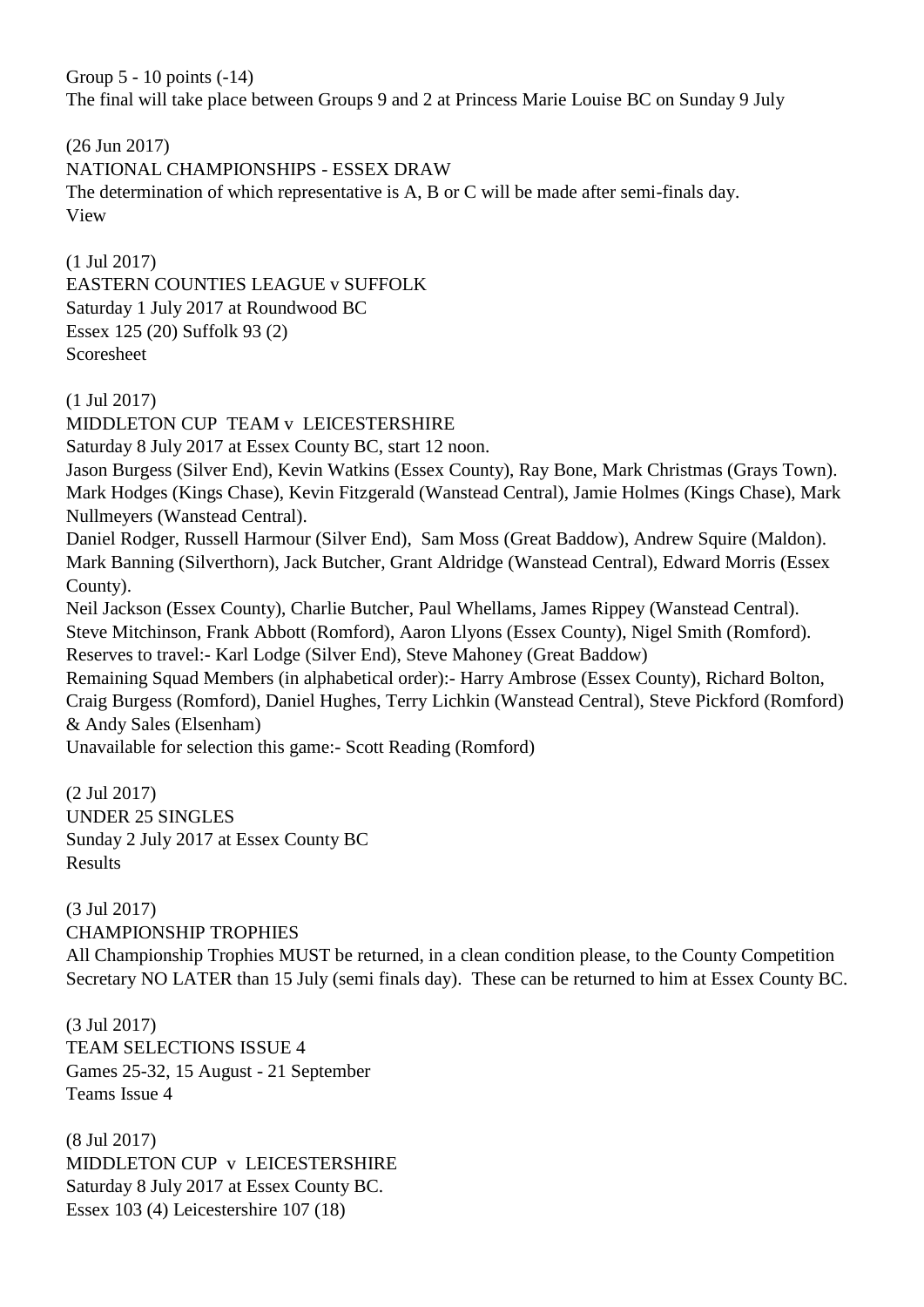Group 5 - 10 points (-14) The final will take place between Groups 9 and 2 at Princess Marie Louise BC on Sunday 9 July

(26 Jun 2017) NATIONAL CHAMPIONSHIPS - ESSEX DRAW The determination of which representative is A, B or C will be made after semi-finals day. View

(1 Jul 2017) EASTERN COUNTIES LEAGUE v SUFFOLK Saturday 1 July 2017 at Roundwood BC Essex 125 (20) Suffolk 93 (2) Scoresheet

(1 Jul 2017)

MIDDLETON CUP TEAM v LEICESTERSHIRE

Saturday 8 July 2017 at Essex County BC, start 12 noon.

Jason Burgess (Silver End), Kevin Watkins (Essex County), Ray Bone, Mark Christmas (Grays Town). Mark Hodges (Kings Chase), Kevin Fitzgerald (Wanstead Central), Jamie Holmes (Kings Chase), Mark Nullmeyers (Wanstead Central).

Daniel Rodger, Russell Harmour (Silver End), Sam Moss (Great Baddow), Andrew Squire (Maldon). Mark Banning (Silverthorn), Jack Butcher, Grant Aldridge (Wanstead Central), Edward Morris (Essex County).

Neil Jackson (Essex County), Charlie Butcher, Paul Whellams, James Rippey (Wanstead Central). Steve Mitchinson, Frank Abbott (Romford), Aaron Llyons (Essex County), Nigel Smith (Romford). Reserves to travel:- Karl Lodge (Silver End), Steve Mahoney (Great Baddow)

Remaining Squad Members (in alphabetical order):- Harry Ambrose (Essex County), Richard Bolton, Craig Burgess (Romford), Daniel Hughes, Terry Lichkin (Wanstead Central), Steve Pickford (Romford) & Andy Sales (Elsenham)

Unavailable for selection this game:- Scott Reading (Romford)

(2 Jul 2017) UNDER 25 SINGLES Sunday 2 July 2017 at Essex County BC Results

(3 Jul 2017) CHAMPIONSHIP TROPHIES

All Championship Trophies MUST be returned, in a clean condition please, to the County Competition Secretary NO LATER than 15 July (semi finals day). These can be returned to him at Essex County BC.

(3 Jul 2017) TEAM SELECTIONS ISSUE 4 Games 25-32, 15 August - 21 September Teams Issue 4

(8 Jul 2017) MIDDLETON CUP v LEICESTERSHIRE Saturday 8 July 2017 at Essex County BC. Essex 103 (4) Leicestershire 107 (18)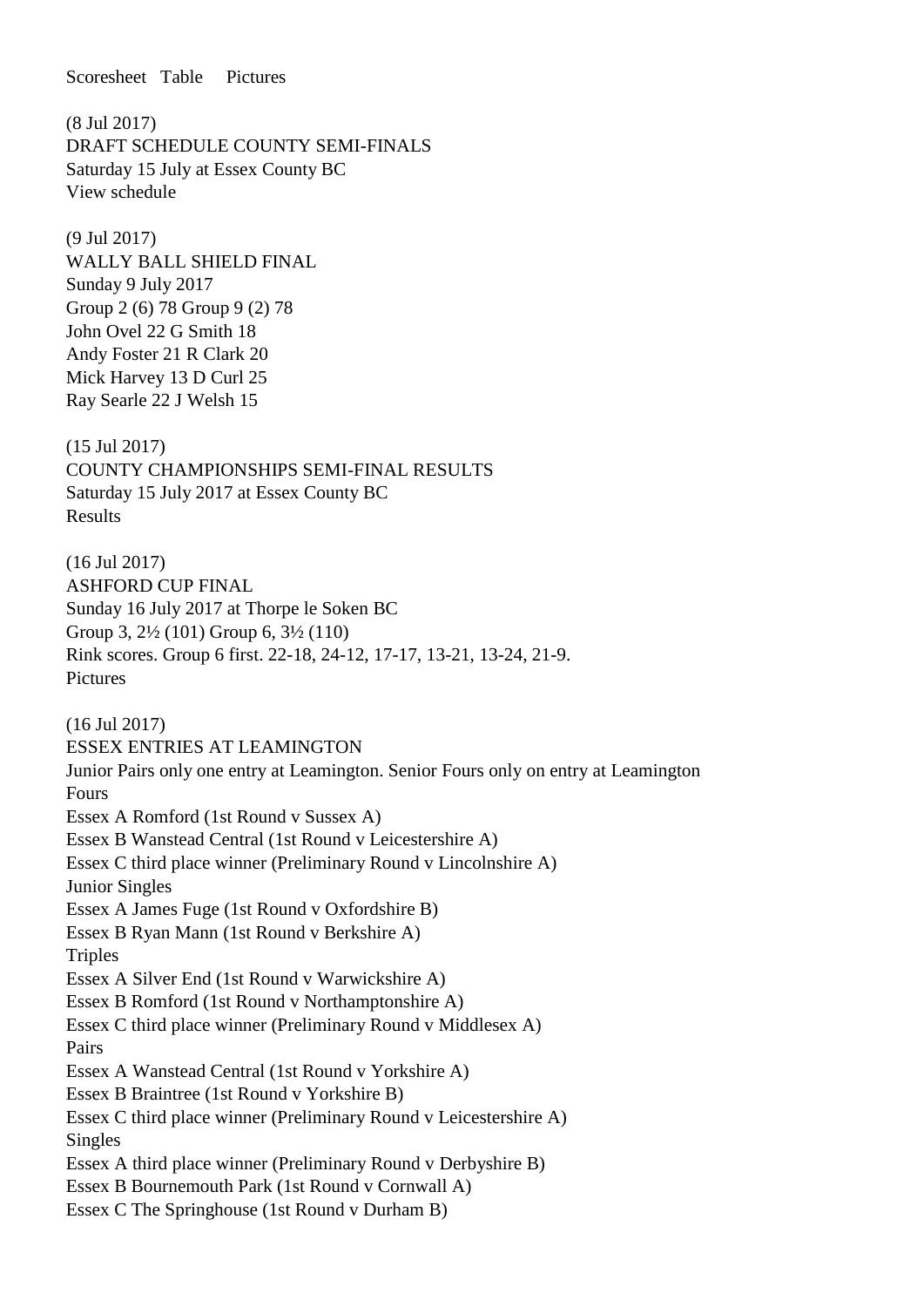Scoresheet Table Pictures

(8 Jul 2017) DRAFT SCHEDULE COUNTY SEMI-FINALS Saturday 15 July at Essex County BC View schedule

(9 Jul 2017) WALLY BALL SHIELD FINAL Sunday 9 July 2017 Group 2 (6) 78 Group 9 (2) 78 John Ovel 22 G Smith 18 Andy Foster 21 R Clark 20 Mick Harvey 13 D Curl 25 Ray Searle 22 J Welsh 15

(15 Jul 2017) COUNTY CHAMPIONSHIPS SEMI-FINAL RESULTS Saturday 15 July 2017 at Essex County BC Results

(16 Jul 2017) ASHFORD CUP FINAL Sunday 16 July 2017 at Thorpe le Soken BC Group 3, 2½ (101) Group 6, 3½ (110) Rink scores. Group 6 first. 22-18, 24-12, 17-17, 13-21, 13-24, 21-9. Pictures

(16 Jul 2017) ESSEX ENTRIES AT LEAMINGTON Junior Pairs only one entry at Leamington. Senior Fours only on entry at Leamington Fours Essex A Romford (1st Round v Sussex A) Essex B Wanstead Central (1st Round v Leicestershire A) Essex C third place winner (Preliminary Round v Lincolnshire A) Junior Singles Essex A James Fuge (1st Round v Oxfordshire B) Essex B Ryan Mann (1st Round v Berkshire A) **Triples** Essex A Silver End (1st Round v Warwickshire A) Essex B Romford (1st Round v Northamptonshire A) Essex C third place winner (Preliminary Round v Middlesex A) Pairs Essex A Wanstead Central (1st Round v Yorkshire A) Essex B Braintree (1st Round v Yorkshire B) Essex C third place winner (Preliminary Round v Leicestershire A) Singles Essex A third place winner (Preliminary Round v Derbyshire B) Essex B Bournemouth Park (1st Round v Cornwall A) Essex C The Springhouse (1st Round v Durham B)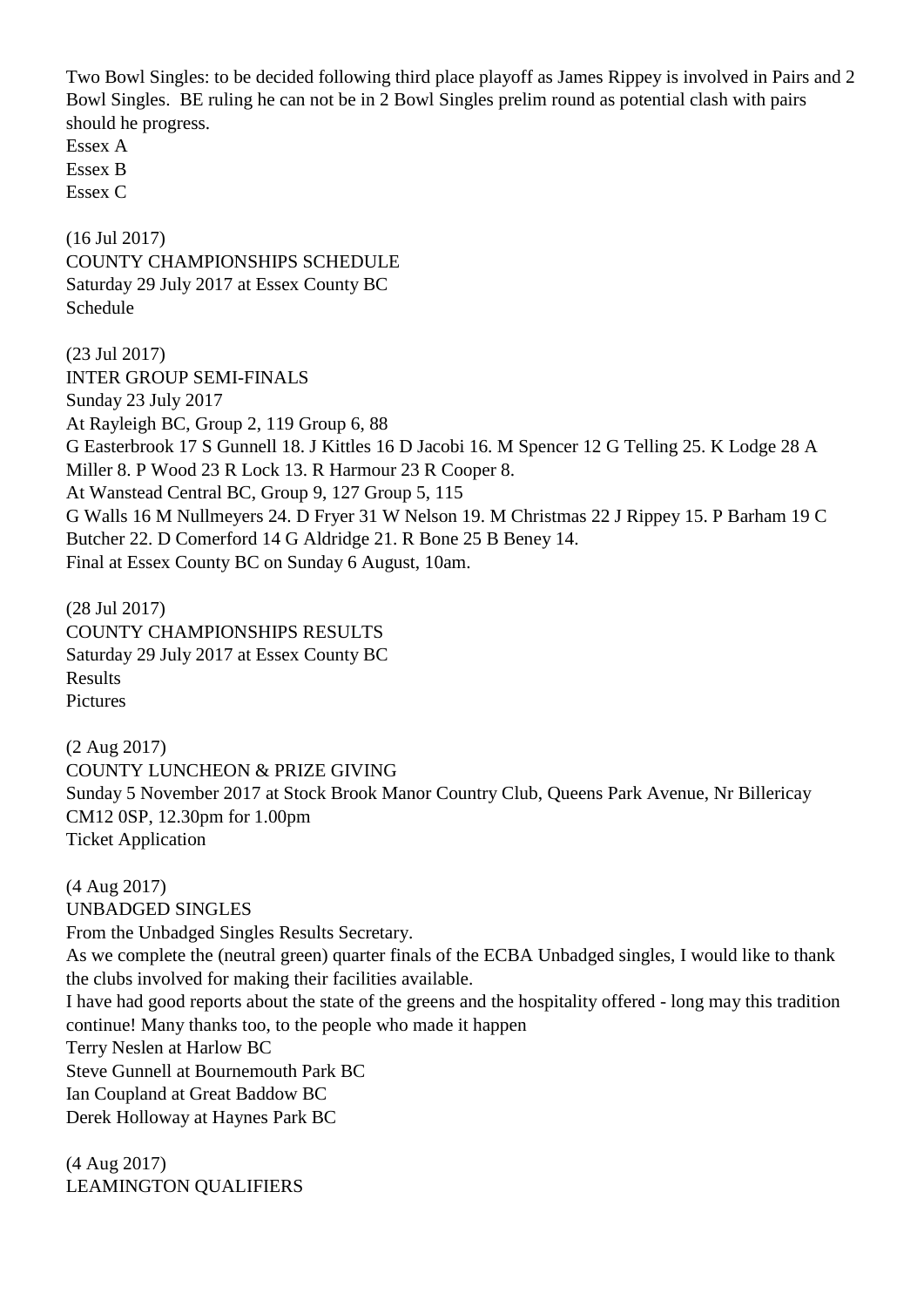Two Bowl Singles: to be decided following third place playoff as James Rippey is involved in Pairs and 2 Bowl Singles. BE ruling he can not be in 2 Bowl Singles prelim round as potential clash with pairs should he progress.

Essex A Essex B Essex C

(16 Jul 2017) COUNTY CHAMPIONSHIPS SCHEDULE Saturday 29 July 2017 at Essex County BC Schedule

(23 Jul 2017) INTER GROUP SEMI-FINALS Sunday 23 July 2017 At Rayleigh BC, Group 2, 119 Group 6, 88 G Easterbrook 17 S Gunnell 18. J Kittles 16 D Jacobi 16. M Spencer 12 G Telling 25. K Lodge 28 A Miller 8. P Wood 23 R Lock 13. R Harmour 23 R Cooper 8. At Wanstead Central BC, Group 9, 127 Group 5, 115 G Walls 16 M Nullmeyers 24. D Fryer 31 W Nelson 19. M Christmas 22 J Rippey 15. P Barham 19 C Butcher 22. D Comerford 14 G Aldridge 21. R Bone 25 B Beney 14. Final at Essex County BC on Sunday 6 August, 10am.

(28 Jul 2017) COUNTY CHAMPIONSHIPS RESULTS Saturday 29 July 2017 at Essex County BC Results Pictures

(2 Aug 2017) COUNTY LUNCHEON & PRIZE GIVING Sunday 5 November 2017 at Stock Brook Manor Country Club, Queens Park Avenue, Nr Billericay CM12 0SP, 12.30pm for 1.00pm Ticket Application

(4 Aug 2017) UNBADGED SINGLES From the Unbadged Singles Results Secretary. As we complete the (neutral green) quarter finals of the ECBA Unbadged singles, I would like to thank the clubs involved for making their facilities available. I have had good reports about the state of the greens and the hospitality offered - long may this tradition continue! Many thanks too, to the people who made it happen Terry Neslen at Harlow BC Steve Gunnell at Bournemouth Park BC Ian Coupland at Great Baddow BC Derek Holloway at Haynes Park BC

(4 Aug 2017) LEAMINGTON QUALIFIERS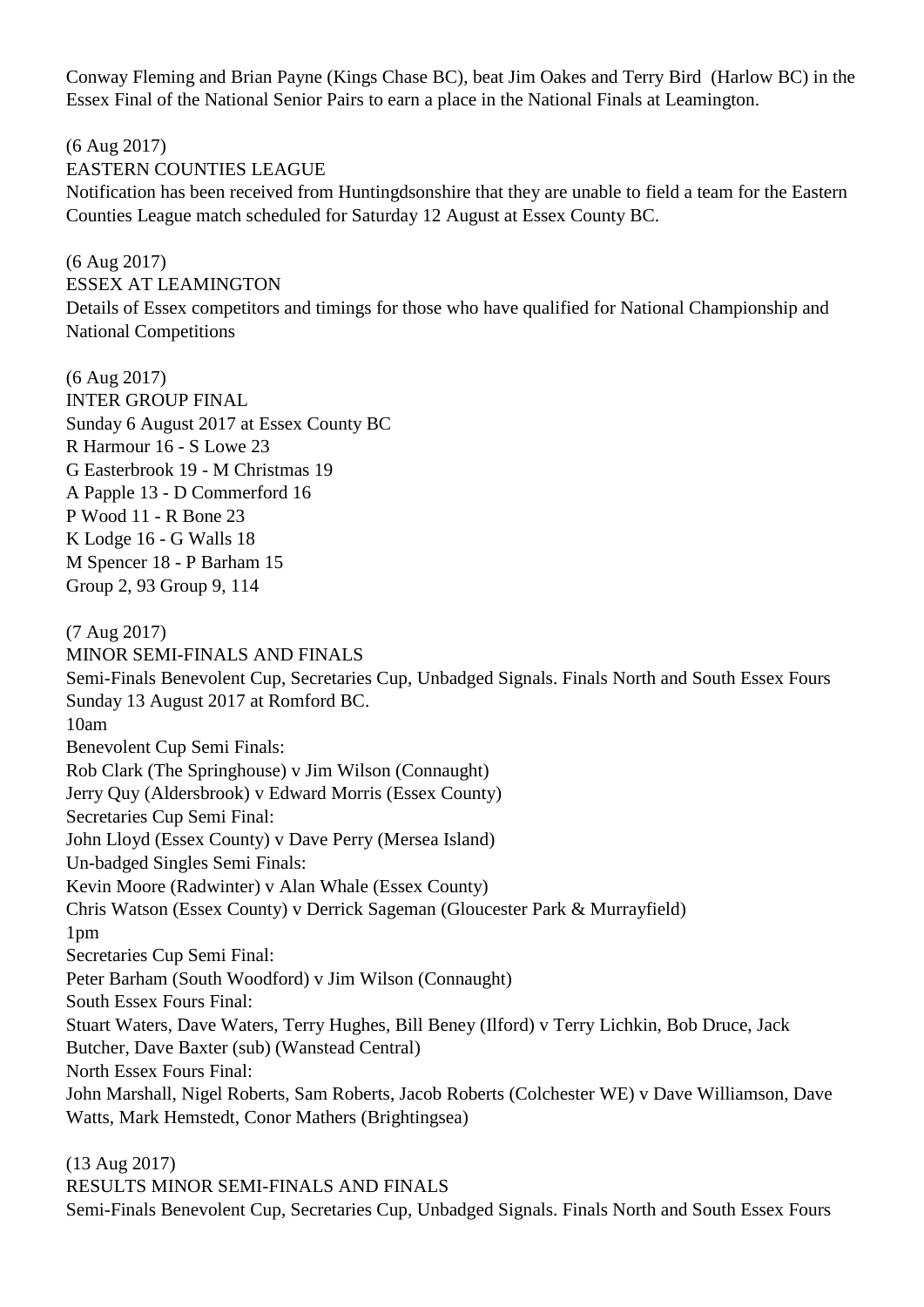Conway Fleming and Brian Payne (Kings Chase BC), beat Jim Oakes and Terry Bird (Harlow BC) in the Essex Final of the National Senior Pairs to earn a place in the National Finals at Leamington.

(6 Aug 2017) EASTERN COUNTIES LEAGUE Notification has been received from Huntingdsonshire that they are unable to field a team for the Eastern Counties League match scheduled for Saturday 12 August at Essex County BC.

(6 Aug 2017) ESSEX AT LEAMINGTON Details of Essex competitors and timings for those who have qualified for National Championship and National Competitions

(6 Aug 2017) INTER GROUP FINAL Sunday 6 August 2017 at Essex County BC R Harmour 16 - S Lowe 23 G Easterbrook 19 - M Christmas 19 A Papple 13 - D Commerford 16 P Wood 11 - R Bone 23 K Lodge 16 - G Walls 18 M Spencer 18 - P Barham 15 Group 2, 93 Group 9, 114

(7 Aug 2017) MINOR SEMI-FINALS AND FINALS Semi-Finals Benevolent Cup, Secretaries Cup, Unbadged Signals. Finals North and South Essex Fours Sunday 13 August 2017 at Romford BC. 10am Benevolent Cup Semi Finals: Rob Clark (The Springhouse) v Jim Wilson (Connaught) Jerry Quy (Aldersbrook) v Edward Morris (Essex County) Secretaries Cup Semi Final: John Lloyd (Essex County) v Dave Perry (Mersea Island) Un-badged Singles Semi Finals: Kevin Moore (Radwinter) v Alan Whale (Essex County) Chris Watson (Essex County) v Derrick Sageman (Gloucester Park & Murrayfield) 1pm Secretaries Cup Semi Final: Peter Barham (South Woodford) v Jim Wilson (Connaught) South Essex Fours Final: Stuart Waters, Dave Waters, Terry Hughes, Bill Beney (Ilford) v Terry Lichkin, Bob Druce, Jack Butcher, Dave Baxter (sub) (Wanstead Central) North Essex Fours Final: John Marshall, Nigel Roberts, Sam Roberts, Jacob Roberts (Colchester WE) v Dave Williamson, Dave Watts, Mark Hemstedt, Conor Mathers (Brightingsea)

(13 Aug 2017) RESULTS MINOR SEMI-FINALS AND FINALS Semi-Finals Benevolent Cup, Secretaries Cup, Unbadged Signals. Finals North and South Essex Fours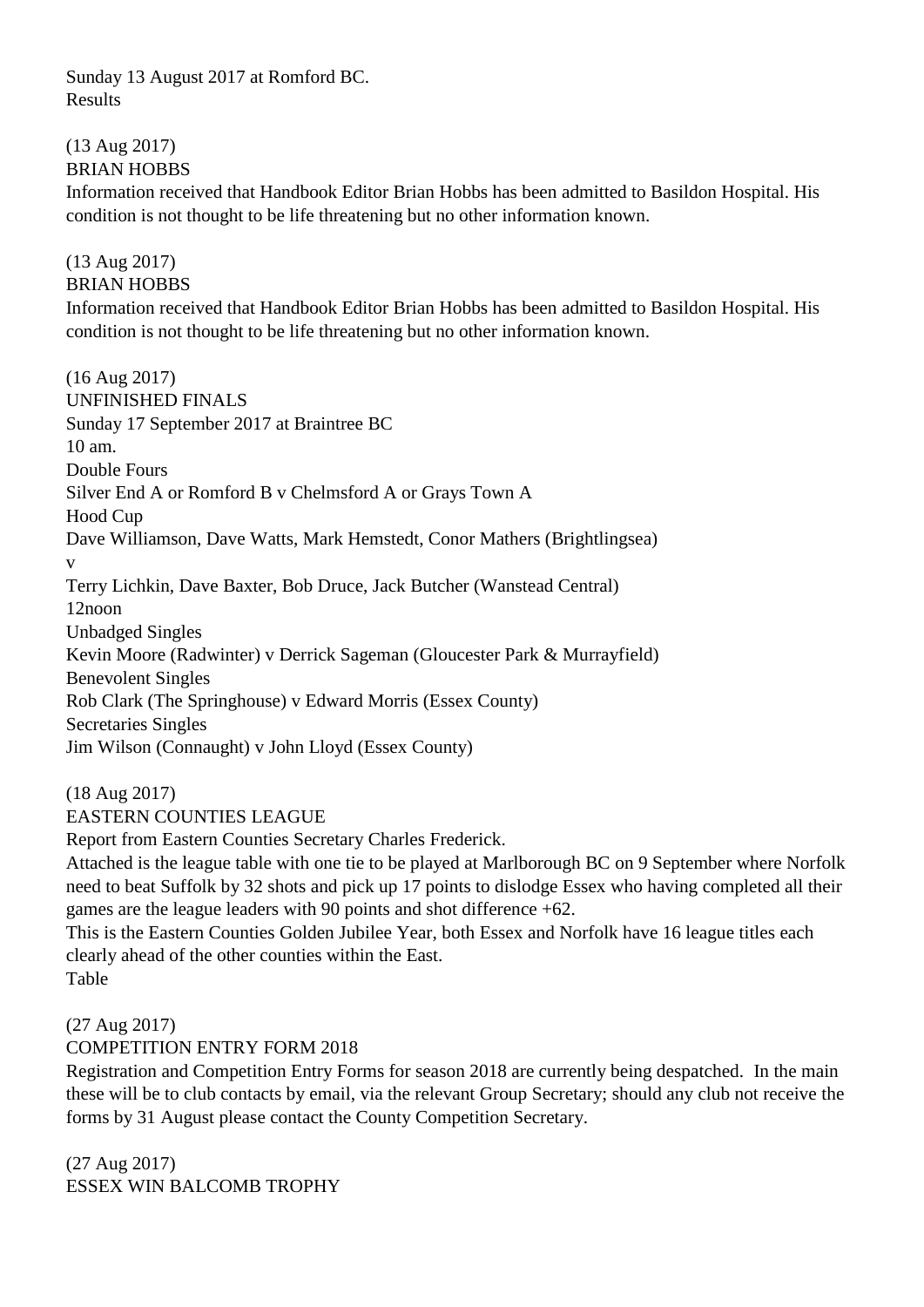Sunday 13 August 2017 at Romford BC. Results

#### (13 Aug 2017) BRIAN HOBBS

Information received that Handbook Editor Brian Hobbs has been admitted to Basildon Hospital. His condition is not thought to be life threatening but no other information known.

## (13 Aug 2017)

#### BRIAN HOBBS

Information received that Handbook Editor Brian Hobbs has been admitted to Basildon Hospital. His condition is not thought to be life threatening but no other information known.

(16 Aug 2017) UNFINISHED FINALS Sunday 17 September 2017 at Braintree BC 10 am. Double Fours Silver End A or Romford B v Chelmsford A or Grays Town A Hood Cup Dave Williamson, Dave Watts, Mark Hemstedt, Conor Mathers (Brightlingsea) v Terry Lichkin, Dave Baxter, Bob Druce, Jack Butcher (Wanstead Central) 12noon Unbadged Singles Kevin Moore (Radwinter) v Derrick Sageman (Gloucester Park & Murrayfield) Benevolent Singles Rob Clark (The Springhouse) v Edward Morris (Essex County) Secretaries Singles Jim Wilson (Connaught) v John Lloyd (Essex County)

#### (18 Aug 2017)

#### EASTERN COUNTIES LEAGUE

Report from Eastern Counties Secretary Charles Frederick.

Attached is the league table with one tie to be played at Marlborough BC on 9 September where Norfolk need to beat Suffolk by 32 shots and pick up 17 points to dislodge Essex who having completed all their games are the league leaders with 90 points and shot difference +62.

This is the Eastern Counties Golden Jubilee Year, both Essex and Norfolk have 16 league titles each clearly ahead of the other counties within the East. Table

#### (27 Aug 2017)

#### COMPETITION ENTRY FORM 2018

Registration and Competition Entry Forms for season 2018 are currently being despatched. In the main these will be to club contacts by email, via the relevant Group Secretary; should any club not receive the forms by 31 August please contact the County Competition Secretary.

(27 Aug 2017) ESSEX WIN BALCOMB TROPHY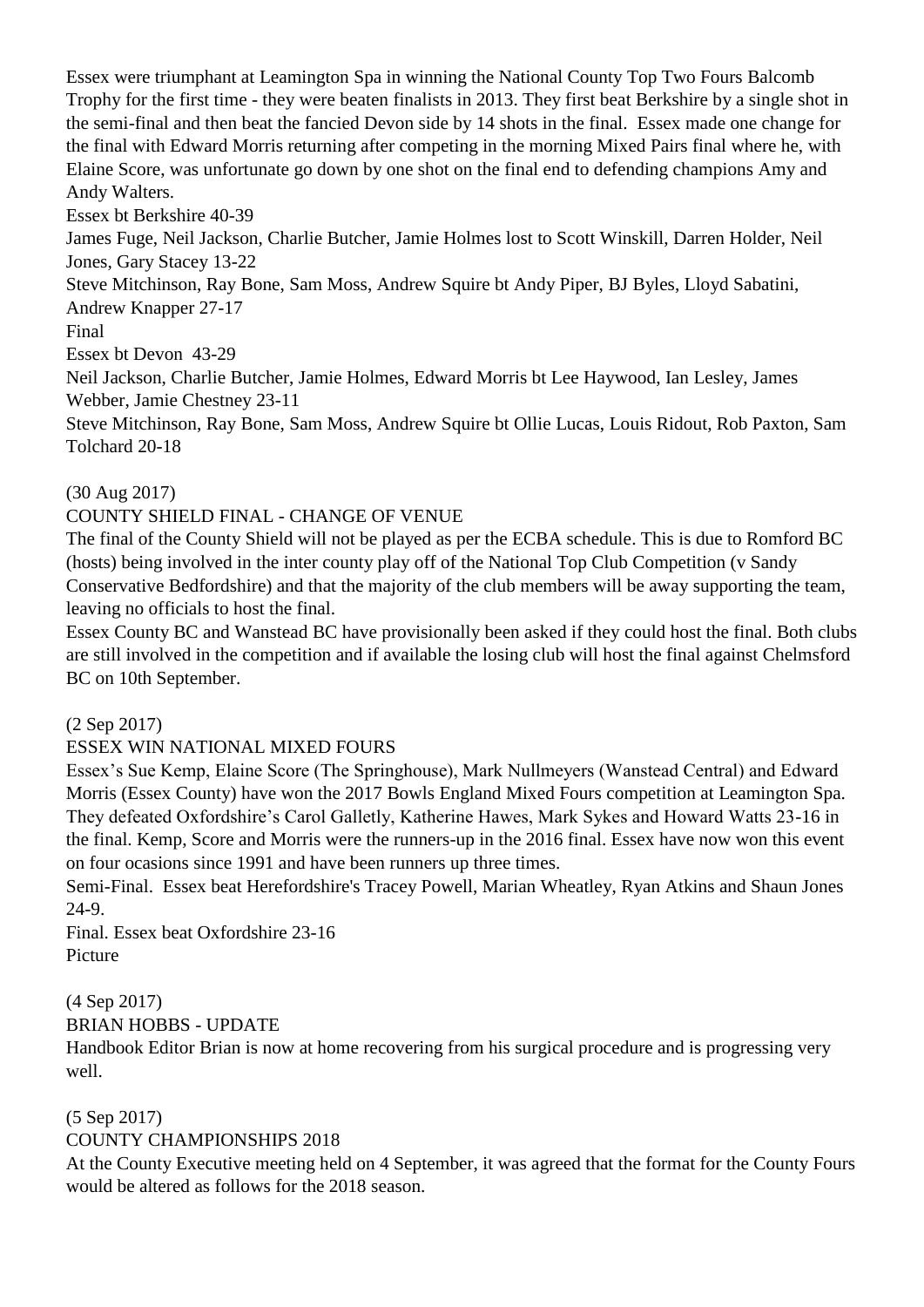Essex were triumphant at Leamington Spa in winning the National County Top Two Fours Balcomb Trophy for the first time - they were beaten finalists in 2013. They first beat Berkshire by a single shot in the semi-final and then beat the fancied Devon side by 14 shots in the final. Essex made one change for the final with Edward Morris returning after competing in the morning Mixed Pairs final where he, with Elaine Score, was unfortunate go down by one shot on the final end to defending champions Amy and Andy Walters.

Essex bt Berkshire 40-39

James Fuge, Neil Jackson, Charlie Butcher, Jamie Holmes lost to Scott Winskill, Darren Holder, Neil Jones, Gary Stacey 13-22

Steve Mitchinson, Ray Bone, Sam Moss, Andrew Squire bt Andy Piper, BJ Byles, Lloyd Sabatini, Andrew Knapper 27-17

Final

Essex bt Devon 43-29

Neil Jackson, Charlie Butcher, Jamie Holmes, Edward Morris bt Lee Haywood, Ian Lesley, James Webber, Jamie Chestney 23-11

Steve Mitchinson, Ray Bone, Sam Moss, Andrew Squire bt Ollie Lucas, Louis Ridout, Rob Paxton, Sam Tolchard 20-18

#### (30 Aug 2017)

#### COUNTY SHIELD FINAL - CHANGE OF VENUE

The final of the County Shield will not be played as per the ECBA schedule. This is due to Romford BC (hosts) being involved in the inter county play off of the National Top Club Competition (v Sandy Conservative Bedfordshire) and that the majority of the club members will be away supporting the team, leaving no officials to host the final.

Essex County BC and Wanstead BC have provisionally been asked if they could host the final. Both clubs are still involved in the competition and if available the losing club will host the final against Chelmsford BC on 10th September.

(2 Sep 2017)

#### ESSEX WIN NATIONAL MIXED FOURS

Essex's Sue Kemp, Elaine Score (The Springhouse), Mark Nullmeyers (Wanstead Central) and Edward Morris (Essex County) have won the 2017 Bowls England Mixed Fours competition at Leamington Spa. They defeated Oxfordshire's Carol Galletly, Katherine Hawes, Mark Sykes and Howard Watts 23-16 in the final. Kemp, Score and Morris were the runners-up in the 2016 final. Essex have now won this event on four ocasions since 1991 and have been runners up three times.

Semi-Final. Essex beat Herefordshire's Tracey Powell, Marian Wheatley, Ryan Atkins and Shaun Jones 24-9.

Final. Essex beat Oxfordshire 23-16 Picture

(4 Sep 2017)

BRIAN HOBBS - UPDATE

Handbook Editor Brian is now at home recovering from his surgical procedure and is progressing very well.

#### (5 Sep 2017)

#### COUNTY CHAMPIONSHIPS 2018

At the County Executive meeting held on 4 September, it was agreed that the format for the County Fours would be altered as follows for the 2018 season.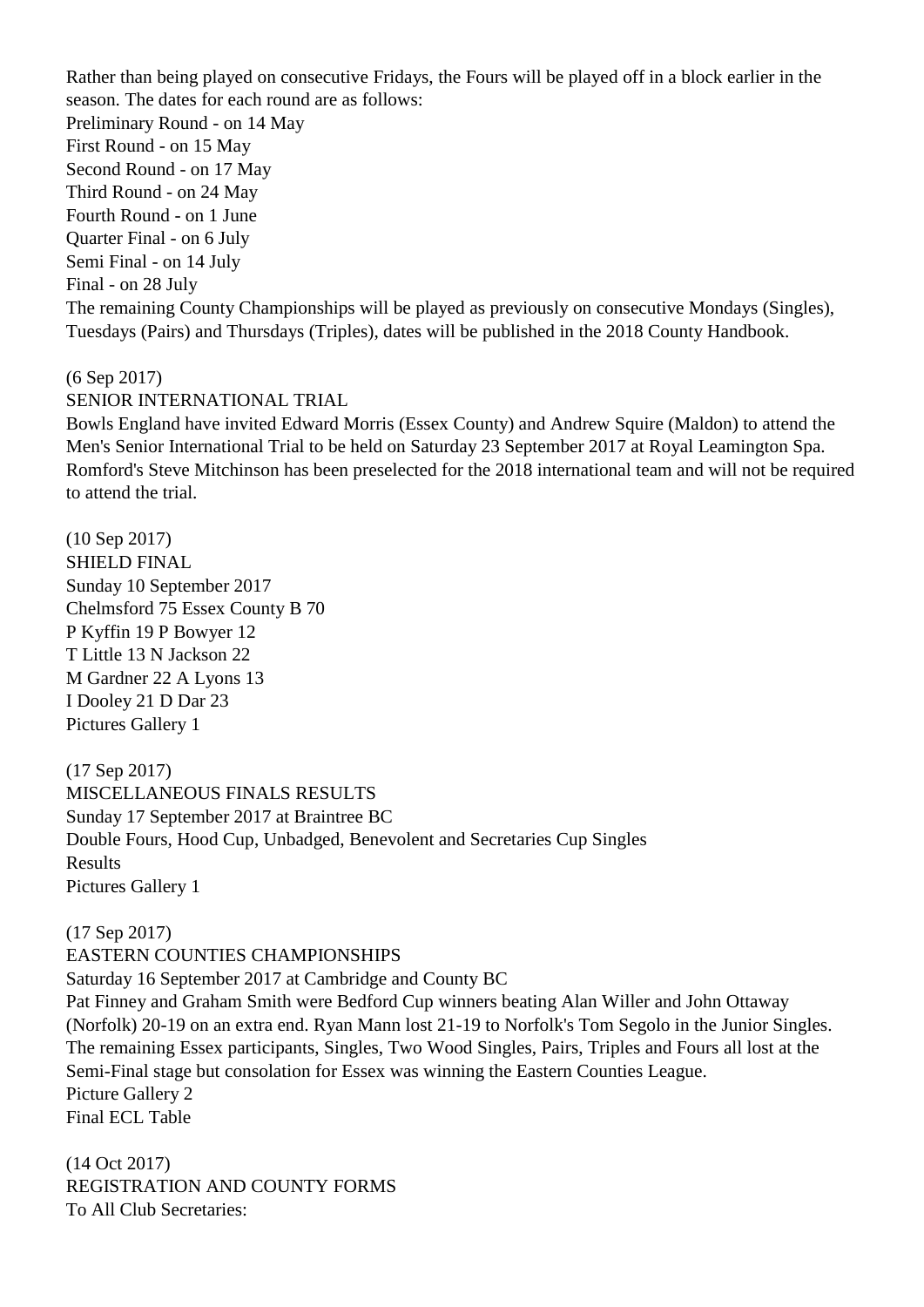Rather than being played on consecutive Fridays, the Fours will be played off in a block earlier in the season. The dates for each round are as follows: Preliminary Round - on 14 May First Round - on 15 May Second Round - on 17 May Third Round - on 24 May Fourth Round - on 1 June Quarter Final - on 6 July Semi Final - on 14 July Final - on 28 July The remaining County Championships will be played as previously on consecutive Mondays (Singles), Tuesdays (Pairs) and Thursdays (Triples), dates will be published in the 2018 County Handbook.

#### (6 Sep 2017)

#### SENIOR INTERNATIONAL TRIAL

Bowls England have invited Edward Morris (Essex County) and Andrew Squire (Maldon) to attend the Men's Senior International Trial to be held on Saturday 23 September 2017 at Royal Leamington Spa. Romford's Steve Mitchinson has been preselected for the 2018 international team and will not be required to attend the trial.

(10 Sep 2017) SHIELD FINAL Sunday 10 September 2017 Chelmsford 75 Essex County B 70 P Kyffin 19 P Bowyer 12 T Little 13 N Jackson 22 M Gardner 22 A Lyons 13 I Dooley 21 D Dar 23 Pictures Gallery 1

(17 Sep 2017) MISCELLANEOUS FINALS RESULTS Sunday 17 September 2017 at Braintree BC Double Fours, Hood Cup, Unbadged, Benevolent and Secretaries Cup Singles Results Pictures Gallery 1

(17 Sep 2017) EASTERN COUNTIES CHAMPIONSHIPS Saturday 16 September 2017 at Cambridge and County BC Pat Finney and Graham Smith were Bedford Cup winners beating Alan Willer and John Ottaway (Norfolk) 20-19 on an extra end. Ryan Mann lost 21-19 to Norfolk's Tom Segolo in the Junior Singles. The remaining Essex participants, Singles, Two Wood Singles, Pairs, Triples and Fours all lost at the Semi-Final stage but consolation for Essex was winning the Eastern Counties League. Picture Gallery 2 Final ECL Table

(14 Oct 2017) REGISTRATION AND COUNTY FORMS To All Club Secretaries: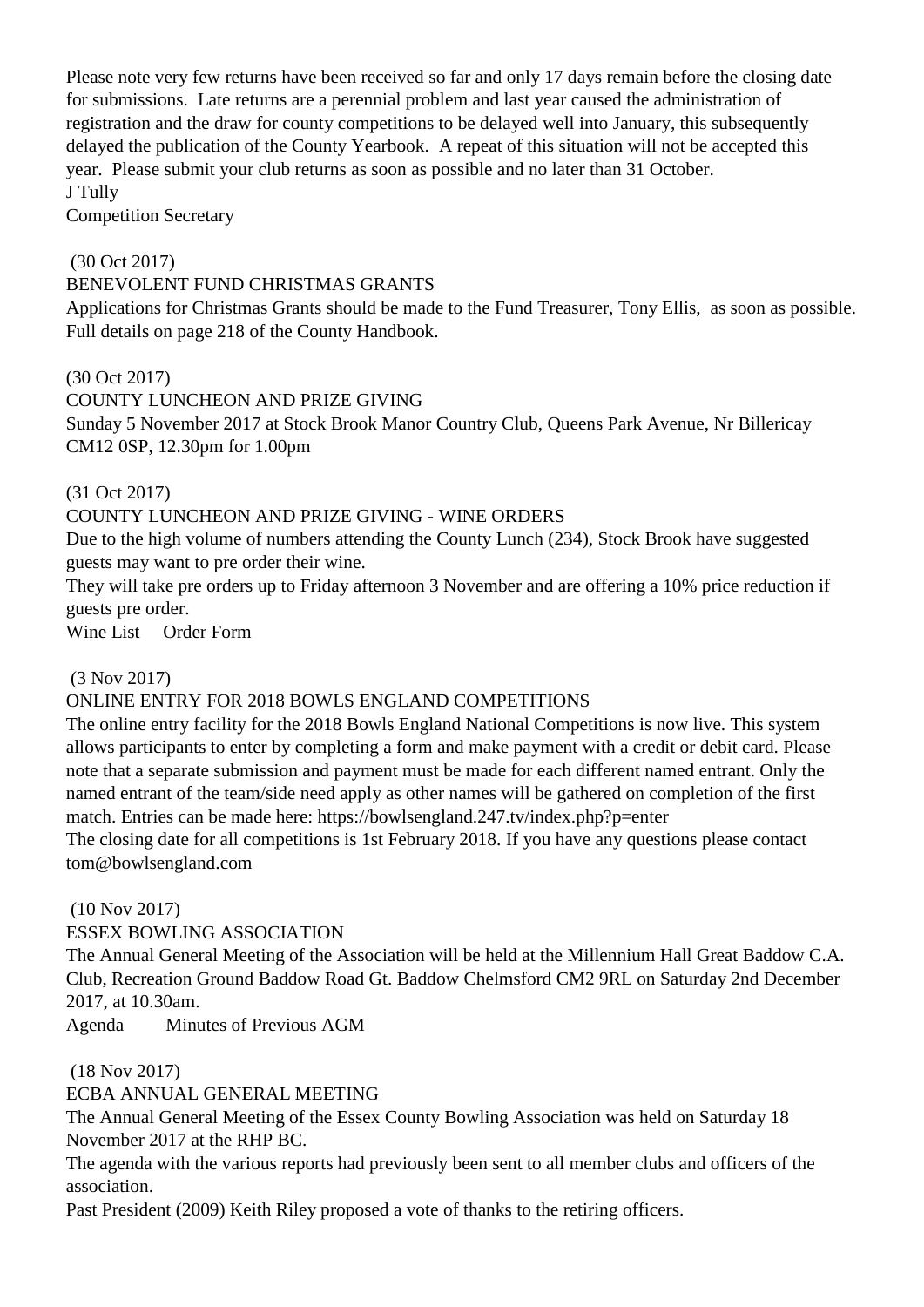Please note very few returns have been received so far and only 17 days remain before the closing date for submissions. Late returns are a perennial problem and last year caused the administration of registration and the draw for county competitions to be delayed well into January, this subsequently delayed the publication of the County Yearbook. A repeat of this situation will not be accepted this year. Please submit your club returns as soon as possible and no later than 31 October. J Tully

Competition Secretary

#### (30 Oct 2017)

#### BENEVOLENT FUND CHRISTMAS GRANTS

Applications for Christmas Grants should be made to the Fund Treasurer, Tony Ellis, as soon as possible. Full details on page 218 of the County Handbook.

(30 Oct 2017) COUNTY LUNCHEON AND PRIZE GIVING Sunday 5 November 2017 at Stock Brook Manor Country Club, Queens Park Avenue, Nr Billericay CM12 0SP, 12.30pm for 1.00pm

### (31 Oct 2017)

### COUNTY LUNCHEON AND PRIZE GIVING - WINE ORDERS

Due to the high volume of numbers attending the County Lunch (234), Stock Brook have suggested guests may want to pre order their wine.

They will take pre orders up to Friday afternoon 3 November and are offering a 10% price reduction if guests pre order.

Wine List Order Form

#### (3 Nov 2017)

## ONLINE ENTRY FOR 2018 BOWLS ENGLAND COMPETITIONS

The online entry facility for the 2018 Bowls England National Competitions is now live. This system allows participants to enter by completing a form and make payment with a credit or debit card. Please note that a separate submission and payment must be made for each different named entrant. Only the named entrant of the team/side need apply as other names will be gathered on completion of the first match. Entries can be made here: https://bowlsengland.247.tv/index.php?p=enter

The closing date for all competitions is 1st February 2018. If you have any questions please contact tom@bowlsengland.com

(10 Nov 2017)

#### ESSEX BOWLING ASSOCIATION

The Annual General Meeting of the Association will be held at the Millennium Hall Great Baddow C.A. Club, Recreation Ground Baddow Road Gt. Baddow Chelmsford CM2 9RL on Saturday 2nd December 2017, at 10.30am.

Agenda Minutes of Previous AGM

(18 Nov 2017)

ECBA ANNUAL GENERAL MEETING

The Annual General Meeting of the Essex County Bowling Association was held on Saturday 18 November 2017 at the RHP BC.

The agenda with the various reports had previously been sent to all member clubs and officers of the association.

Past President (2009) Keith Riley proposed a vote of thanks to the retiring officers.